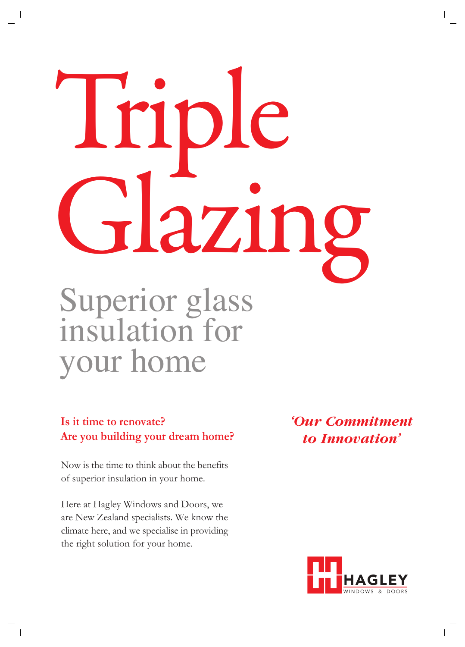# $n$ azin, Superior glass insulation for

## your home

### **Is it time to renovate? Are you building your dream home?**

Now is the time to think about the benefits of superior insulation in your home.

Here at Hagley Windows and Doors, we are New Zealand specialists. We know the climate here, and we specialise in providing the right solution for your home.

*'Our Commitment to Innovation'*